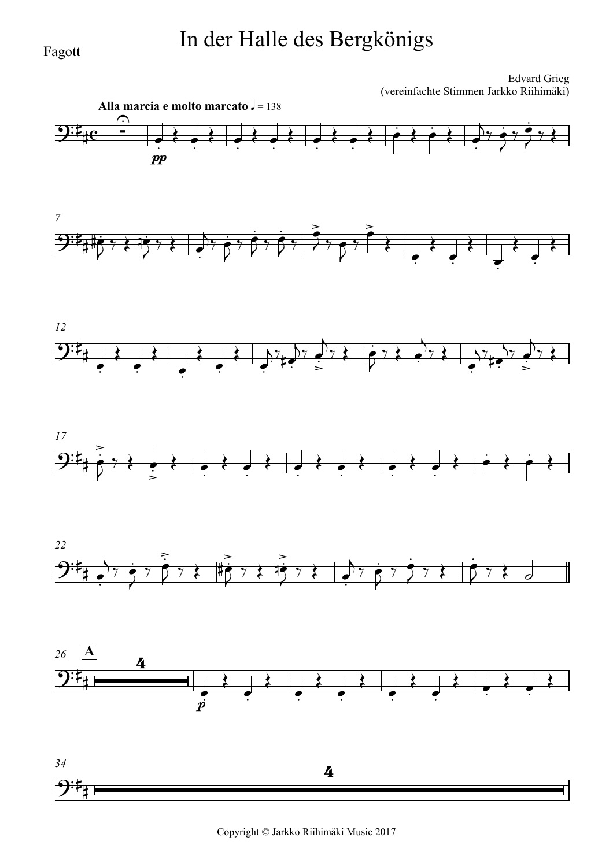## In der Halle des Bergkönigs

Edvard Grieg (vereinfachte Stimmen Jarkko Riihimäki)



Fagott